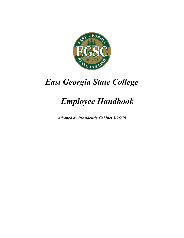

# *East Georgia State College*

# *Employee Handbook*

*Adopted by President's Cabinet 3/26/19*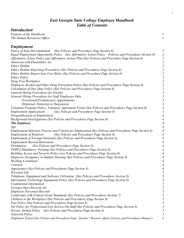# *East Georgia State College Employee Handbook Table of Contents*

# *Introduction*

*Purpose of the Handbook 1*<br>The Human Resources Office **1** *The Human Resources Office 1*

*Employment*

| Notice of Non-Discrimination (See Policies and Procedure Page Section 8)<br>Equal Employment Opportunity Policy (See Affirmative Action Policy – Policies and Procedures Section 8)<br>Affirmative Action Policy and Affirmative Action Plan (See Policies and Procedure Page Section 8)<br>American with Disabilities Act<br><b>Ethics Hotline</b> | $\overline{c}$<br>$\overline{c}$                                                                             |
|-----------------------------------------------------------------------------------------------------------------------------------------------------------------------------------------------------------------------------------------------------------------------------------------------------------------------------------------------------|--------------------------------------------------------------------------------------------------------------|
| Ethics Hotline Reporting Procedures (See Policies and Procedures Page Section 8)<br>Ethics Hotline Report Line User Roles (See Policies and Procedure Page Section 8)<br><b>Ethics Policy</b>                                                                                                                                                       | $22222$<br>$2222$                                                                                            |
| Drug Free Workplace<br>Employee Alcohol and Other Drug Prevention Policy (See Policies and Procedures Page Section 8)<br>Calculation of Due Date Policy (See Policies and Procedures Page Section 8)<br>General Hiring Procedures for Faculty                                                                                                       | $\overline{c}$<br>$\overline{\mathbf{c}}$                                                                    |
| General Hiring Procedures for Staff Employees Only<br>Provisional/Probationary Appointments<br>Dismissal, Demotion or Suspension                                                                                                                                                                                                                    | $\frac{2}{3}$<br>$\begin{array}{c} 3 \\ 3 \\ 3 \end{array}$                                                  |
| Volunteer Program Policy, Volunteer Agreement Forms (See Policies and Procedures Page Section 8)<br><b>Employment Applications</b><br>(See Policies and Procedures Page Section 8)<br>Disqualification of Employment                                                                                                                                | $\mathfrak{Z}$<br>4                                                                                          |
| Background Investigations (See Policies and Procedures Page Section 8)<br><b>The Employee</b><br>Age                                                                                                                                                                                                                                                | $\overline{\mathcal{A}}$<br>4<br>$\overline{\mathcal{A}}$                                                    |
| Employment Selection Process and Criteria for Employment (See Policies and Procedures Page Section 8)<br>(See Policies and Procedures Page Section 8)<br><b>Employment of Relatives</b><br><b>Employment of Foreign Nationals (See Policies and Procedures Page Section 8)</b><br><b>Employment Beyond Retirement</b>                               | $\overline{\mathcal{A}}$<br>$\overline{\mathcal{A}}$<br>$\overline{\mathcal{A}}$<br>$\overline{\mathcal{A}}$ |
| (See Policies and Procedures Page Section 8)<br><i><u><b>Orientation</b></u></i><br>FERPA Mandatory Training (See Policies and Procedures Page Section 8)<br>Building Access and Security Policy (see Policies and Procedures Page Section 8)                                                                                                       | 4<br>4<br>4                                                                                                  |
| Employee Occupancy in Student Housing (See Policies and Procedures Page Section 8)<br><b>Working Conditions</b><br>Courtesy<br>Appearance (See Policies and Procedures Page Section 8)                                                                                                                                                              | 4<br>4<br>4                                                                                                  |
| Personal Life<br>Telephone, Equipment and Software Utilization (See Policies and Procedures Section 8)<br>Information Technology Equipment Policy (See Policies and Procedures Page Section 8)                                                                                                                                                      | 4<br>5<br>5<br>5                                                                                             |
| Confidential Information<br>Georgia Open Records Act<br><b>Employee Personnel Records</b>                                                                                                                                                                                                                                                           | J<br>5<br>5                                                                                                  |
| Conformity with Federal Grant Standards (See Policies and Procedures Section 7)<br>Children in the Workplace (See Policies and Procedures Page Section 8)<br>Pets Policy (See Policies and Procedures Page Section 8)                                                                                                                               | 5<br>5<br>5                                                                                                  |
| Pet Policy for Professional Live-In/Live-On Staff (See Policies and Procedures Page Section 8)<br>Service Animal Policy (See Policies and Procedures Page Section 8)<br><b>Telework Policy</b>                                                                                                                                                      | 5<br>5<br>5                                                                                                  |
| Employee Travel (See Policies and Procedures Page – Section 7 Business Affairs Policies and Procedures Manual)                                                                                                                                                                                                                                      | 5                                                                                                            |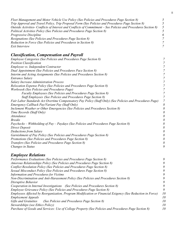| Fleet Management and Motor Vehicle Use Policy (See Policies and Procedures Page Section 8)                     |                |
|----------------------------------------------------------------------------------------------------------------|----------------|
| (8 Trip Approval and Travel Policy, Trip Proposal Form (See Policies and Procedures Page Section               |                |
| Outside Activities- Conflicts of Interest and Conflicts of Commitment – See Policies and Procedures Section 8) | $\sqrt{5}$     |
| Political Activities Policy (See Policies and Procedures Page Section 8)                                       | 5              |
| <i>Progressive Discipline</i>                                                                                  | 6              |
| Resignations (See Policies and Procedures Page Section 8)                                                      | 7              |
| Reduction in Force (See Policies and Procedures in Section 8)                                                  | $\mathcal{I}$  |
| Exit Interview                                                                                                 | $\overline{7}$ |

# *Classification, Compensation and Payroll*

| Employee Categories (See Policies and Procedures Page Section 8)                                          | 7                        |
|-----------------------------------------------------------------------------------------------------------|--------------------------|
| <b>Position Classification</b>                                                                            |                          |
| Employee vs. Independent Contractor                                                                       |                          |
| Dual Appointment (See Policies and Procedures Pace Section 8)                                             |                          |
| Interim and Acting Assignments (See Policies and Procedures Section 8)                                    |                          |
| <b>Entrance Salary</b>                                                                                    | $\overline{\mathcal{L}}$ |
| <b>Salary Increase Administration Process</b>                                                             |                          |
| Relocation Expense Policy (See Policies and Procedures Page Section 8)                                    | 7                        |
| Workweek (See Policies and Procedures Page)                                                               | 7                        |
| Faculty Employees (See Policies and Procedures Page Section 8)                                            | 7                        |
| Staff Employees (See Policies and Procedures Page Section 8)                                              | 7                        |
| Fair Labor Standards Act Overtime Compensatory Pay Policy (Staff Only) (See Policies and Procedures Page) | 7                        |
| Emergency Callback Pay/Variant Pay (Staff Only)                                                           | 8                        |
| Inclement Weather or Other Emergencies (See Policies and Procedures Section 8)                            | 8                        |
| Time Records (Staff Only)                                                                                 | 8                        |
| Attendance                                                                                                | 8                        |
| <i>Breaks</i>                                                                                             | 8                        |
| Paychecks – Withholding of Pay – Paydays (See Policies and Procedures Page Section 8)                     | 8                        |
| Direct Deposit                                                                                            | 8                        |
| Deductions from Salary                                                                                    | 8                        |
| Garnishment of Pay Policy (See Policies and Procedures Page Section 8)                                    | 8                        |
| Promotions (See Policies and Procedures Page Section 8)                                                   | 8                        |
| Transfers (See Policies and Procedures Page Section 8)                                                    | 8                        |
| Changes in Status                                                                                         | 9                        |

# *Employee Relations*

| Performance Evaluations (See Policies and Procedures Page Section 8)                                      | 9  |
|-----------------------------------------------------------------------------------------------------------|----|
| Amorous Relationships Policy (See Policies and Procedures Page Section 8)                                 | 9  |
| Conflict Resolution Policy (See Policies and Procedures Page Section 8)                                   | 9  |
| Sexual Misconduct Policy (See Policies and Procedures Page Section 8)                                     | 9  |
| <b>Information and Procedures for Victims</b>                                                             | 9  |
| Non-Discrimination and Anti-Harassment Policy (See Policies and Procedures Section 8)                     | 9  |
| Disruptive Behavior                                                                                       | 9  |
| Cooperation in Internal Investigations (See Policies and Procedures Section 8)                            | 9  |
| Employee Grievance Policy (See Policies and Procedures Page Section 8)                                    | 9  |
| Employees Affected by Reorganization, Program Modification or Financial Exigency (See Reduction in Force) | 10 |
| <b>Employment Appeals</b>                                                                                 | 10 |
| (See Policies and Procedures Page Section 8)<br>Gifts and Gratuities                                      | 10 |
| Stewardships (see Ethics Policy)                                                                          | 10 |
| Purchase of Goods and Services: Use of College Property (See Policies and Procedures Page Section 8)      | 10 |
|                                                                                                           |    |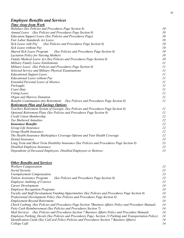# *Employee Benefits and Services*

# *Time Away from Work*

| Holidays (See Policies and Procedures Page Section 8)                                      | 10       |  |  |  |
|--------------------------------------------------------------------------------------------|----------|--|--|--|
| Annual Leave (See Policies and Procedures Page Section 8)                                  | 10       |  |  |  |
| Education Support Leave (See Policies and Procedures Page)                                 | 10       |  |  |  |
| Fair Labor Standards Act Leave                                                             | 10       |  |  |  |
| Sick Leave with Pay<br>(See Policies and Procedures Page Section 8)                        | 10       |  |  |  |
| Sick Leave without Pay                                                                     | 10       |  |  |  |
| <b>Shared Sick Leave Program</b><br>(See Policies and Procedures Page Section 8)           | 10       |  |  |  |
| <b>Lactation Policy for Nursing Mothers</b>                                                | 10       |  |  |  |
| Family Medical Leave Act (See Policies and Procedures Page Section 8)                      | 10       |  |  |  |
| <b>Military Family Leave Entitlements</b>                                                  | 11       |  |  |  |
| Military Leave (See Policies and Procedures Page Section 8)                                | 11       |  |  |  |
| Selected Service and Military Physical Examinations                                        | 11       |  |  |  |
| <b>Educational Support Leave</b>                                                           | 11       |  |  |  |
| <b>Educational Leave without Pay</b>                                                       | 11       |  |  |  |
| <b>Extended Personal Leave of Absence</b>                                                  | 11       |  |  |  |
| Furloughs                                                                                  | 11       |  |  |  |
| Court Duty                                                                                 | 11       |  |  |  |
| Voting Leave                                                                               | 11       |  |  |  |
| Organ and Marrow Donation                                                                  | 11       |  |  |  |
| Benefits Continuation into Retirement (See Policies and Procedures Page Section 8)         | 11       |  |  |  |
| <b>Retirement Plan and Savings Options</b>                                                 |          |  |  |  |
| Teachers Retirement System of Georgia (See Policies and Procedures Page Section 8)         | 11       |  |  |  |
| Optional Retirement Plans (See Policies and Procedures Page Section 8)                     | 11       |  |  |  |
| Credit Union Membership                                                                    | 12       |  |  |  |
| Tax Sheltered Annuities                                                                    | 12       |  |  |  |
| <b>Insurance Benefits</b>                                                                  | 12       |  |  |  |
| Group Life Insurance                                                                       | 12       |  |  |  |
| Group Health Insurance                                                                     | 12       |  |  |  |
| The Health Insurance Marketplace Coverage Options and Your Health Coverage                 | 12       |  |  |  |
| Dental Insurance                                                                           | 13       |  |  |  |
| Long Term and Short Term Disability Insurance (See Policies and Procedures Page Section 8) | 13       |  |  |  |
| Disabled Employee Insurance                                                                | 13<br>13 |  |  |  |
| Dependents of Deceased Employees, Disabled Employees or Retirees                           |          |  |  |  |

| <b>Other Benefits and Services</b>                                                                        |    |
|-----------------------------------------------------------------------------------------------------------|----|
| <b>Workers Compensation</b>                                                                               | 13 |
| Social Security                                                                                           | 13 |
| <b>Unemployment Compensation</b>                                                                          | 13 |
| (See Policies and Procedures Page Section 8)<br><b>Tuition Assistance Program</b>                         | 13 |
| <b>Employee Auditing of Courses</b>                                                                       | 13 |
| Career Development                                                                                        | 14 |
| <b>Employee Recognition Programs</b>                                                                      | 14 |
| Faculty and Staff Development Funding Opportunities (See Policies and Procedures Page Section 8)          | 14 |
| Professional Development Policy (See Policies and Procedures Page Section 8)                              | 14 |
| <b>Employment Beyond Retirement</b>                                                                       | 14 |
| Check Cashing (See Policies and Procedures Page Section 7 Business Affairs Policy and Procedure Manual)   | 14 |
| Petty Cash Reimbursement (See Policies and Procedures Section 7)                                          | 14 |
| Mail Services (See Policies and Procedures Section 7 Business Affairs Policy and Procedure Manual)        | 14 |
| Employee Parking, Decals (See Policies and Procedures Page- Section 13 Parking and Transportation Policy) | 14 |
| Identification Cards (See CatCard Policy-Policies and Procedures Section 7 Business Affairs)              | 14 |
| College Café                                                                                              | 14 |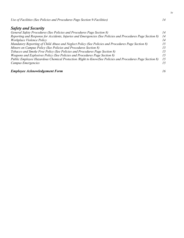*Use of Facilities (See Policies and Procedures Page Section 9-Facilities) 14*

# *Safety and Security*

| General Safety Procedures (See Policies and Procedures Page Section 8)                                      | 14 |
|-------------------------------------------------------------------------------------------------------------|----|
| Reporting and Response for Accidents, Injuries and Emergencies (See Policies and Procedures Page Section 8) | 14 |
| Workplace Violence Policy                                                                                   | 14 |
| Mandatory Reporting of Child Abuse and Neglect Policy (See Policies and Procedures Page Section 8)          | 15 |
| Minors on Campus Policy (See Policies and Procedures Section 8)                                             | 15 |
| Tobacco and Smoke Free Policy (See Policies and Procedures Page Section 8)                                  | 15 |
| Weapons and Explosives Policy (See Policies and Procedures Page Section 8)                                  | 15 |
| Public Employee Hazardous Chemical Protection / Right to Know (See Policies and Procedures Page Section 8)  | 15 |
| Campus Emergencies                                                                                          | 15 |
|                                                                                                             |    |

# *Employee Acknowledgement Form 16*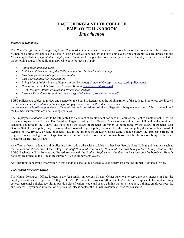# **EAST GEORGIA STATE COLLEGE EMPLOYEE HANDBOOK** *Introduction*

#### *Purpose of Handbook*

The *East Georgia State College Employee Handbook* contains general policies and procedures of the college and the University System of Georgia that applies to **all** East Georgia State College faculty and staff employees. Student employees are directed to the *East Georgia State College Student Employment Handbook* for applicable policies and procedures. Employees are also directed to the following sources for additional applicable policies that may apply:

- *Policy links included herein*
- *Policies and Procedures of the College located on the President's webpage*
- *East Georgia State College Faculty Handbook*
- *East Georgia State College Statutes*
- *Policy Manual of the Board of Regents of the University System of Georgia* [www.usg.edu/policymanual](http://www.usg.edu/policymanual)
- *Human Resource Administrative Practice Manual* [www.usg.edu/hr/manual](http://www.usg.edu/hr/manual)
- *EGSC Business Affairs Policies and Procedures Manual*
- *Business Procedures Manua[l http://www.usg.edu/business\\_procedures\\_manual/](http://www.usg.edu/business_procedures_manual/)*
- •

EGSC policies are subject to review and change by the Board of Regents and the administration of the college. Employees are directed to the *Policies and Procedures of the College* webpage located on the President's website at [http://www.ega.edu/offices/presidents\\_office/policies\\_and\\_procedures\\_of\\_the\\_college](http://www.ega.edu/offices/presidents_office/policies_and_procedures_of_the_college) for subsequent revisions of this handbook and for the most current versions of all college policies.

The Employee Handbook is not to be interpreted as a contract of employment nor does it guarantee the right to employment. Georgia is an employment-at-will state. Per Board of Regent's policy, East Georgia State College policy must fall within the minimum standards set forth in the Bylaws and Policies of the Board of Regents. However, as permissible by the Board of Regents, East Georgia State College policy may be stricter than Board of Regents policy provided that the resulting policy does not violate Board of Regents policy, Bylaws, or state or federal law. In the absence of an East Georgia State College Policy, the applicable Board of Regent's policy shall govern. Interpretations and enforcement of policies in this handbook shall be the responsibility of the Vice President for Business Affairs.

An effort has been made to avoid duplicating information otherwise available in other East Georgia State College publications, such as the Policies and Procedures of the College, the *Staff Handbook*, the *Faculty Handbook*, the *East Georgia State College Statutes,* the EGSC Business Affairs Policies and Procedures Manual, the *Student Employment Handbook* and various benefits booklets. Benefit booklets are issued by the Human Resources Office to all new employees.

Any questions concerning information in this handbook should be directed to your supervisor or to the Human Resources Office.

#### *The Human Resources Office*

The Human Resources Office, located in the Jean Anderson Morgan Student Center functions to serve the best interests of both the employees and East Georgia State College. The Vice President for Business Affairs and her/his staff are responsible for implementing college personnel policies, recruiting, position classification, wage and salary administration, orientation, training, employee records, and benefits. If you need information or guidance, please contact the Human Resources Office for assistance.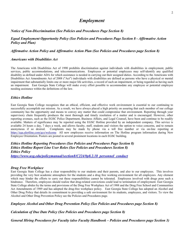# *Employment*

*Notice of Non-Discrimination (See Policies and Procedures Page Section 8)*

# *Equal Employment Opportunity Policy (See Policies and Procedures Page Section 8 - Affirmative Action Policy and Plan)*

## *Affirmative Action Policy and Affirmative Action Plan (See Policies and Procedures page Section 8)*

#### *Americans with Disabilities Act*

The Americans with Disabilities Act of 1990 prohibits discrimination against individuals with disabilities in employment, public services, public accommodations, and telecommunications. Employees or potential employees may self-identify any qualified disability as defined under ADA for which assistance is needed in carrying out their assigned duties. According to the Americans with Disabilities Act Amendments Act of 2008 ("Act") individuals with disabilities are defined as persons who have a physical or mental impairment that substantially limits one or more major life activities, a record of such an impairment, or being regarded as having such an impairment. East Georgia State College will make every effort possible to accommodate any employee or potential employee needing assistance within the definitions of the law.

# *Ethics Hotline*

East Georgia State College recognizes that an ethical, efficient, and effective work environment is essential to our continuing to successfully accomplish our mission. As a result, we have always placed a high priority on assuring that each member of our college community has the opportunity and means to convey any matter that could compromise that environment. Reporting through your supervisory chain frequently produces the most thorough and timely resolution of a matter and is encouraged. However, other reporting avenues, such as the EGSC Police Department, Business Affairs, and Legal Counsel, have been and continue to be readily available. Matters of significance may be reported using the EGSC Hotline provided by an independent company. This service is available 24 hours a day, 7 days a week, and allows faculty, staff, students and visitors the option to voice concerns, and to remain anonymous if so desired. Complaints may be made by phone via a toll free number or via o Complaints may be made by phone via a toll free number or via on-line reporting at <https://ega.alertline.com/gcs/welcome>All new employees receive information on The Hotline program information during New Employee Orientation. Posters are posted in several prominent locations in each EGSC building.

*Ethics Hotline Reporting Procedures (See Policies and Procedures Page Section 8) Ethics Hotline Report Line User Roles (See Policies and Procedures Section 8) Ethics Policy*

*[https://www.usg.edu/policymanual/section8/C224/#p8.2.18\\_personnel\\_conduct](https://www.usg.edu/policymanual/section8/C224/#p8.2.18_personnel_conduct)*

## *Drug Free Workplace*

East Georgia State College has a clear responsibility to our students and their parents, and also to our employees. This involves providing the very best academic atmosphere for the students and a drug free working environment for all employees. Any element which may hinder the efforts to carry out these responsibilities cannot be tolerated. Employees involved with drugs pose such a hindrance. Therefore, employees should realize that drug-related convictions could lead to termination of employment. East Georgia State College abides by the terms and provisions of the Drug Free Workplace Act of 1988 and the Drug Free School and Communities Act Amendments of 1989 and has adopted the drug-free workplace policy. East Georgia State College has adopted an Alcohol and Other Drug Policy that details its commitment to providing a safe environment for its students, employees, and visitors. To view the Alcohol and Other Drug Prevention Policy see the Policies and Procedures page.

*Employee Alcohol and Other Drug Prevention Policy (See Policies and Procedures page Section 8)*

*Calculation of Due Date Policy (See Policies and Procedures page Section 8)*

*General Hiring Procedures for Faculty (also Faculty Handbook – Policies and Procedures page Section 3)*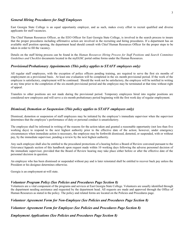#### *General Hiring Procedures for Staff Employees*

East Georgia State College is an equal opportunity employer, and as such, makes every effort to recruit qualified and diverse applicants for staff vacancies.

The Chief Human Resources Officer, as the EEO Officer for East Georgia State College, is involved in the search process to insure that the proper procedures including affirmative action are involved in the recruiting and hiring procedures. If a department has an available staff position opening, the department head should consult with Chief Human Resources Officer for the proper steps to be taken in order to fill the vacancy.

Details on the staff hiring process can be found in the *Human Resources Hiring Process for Staff Positions* and *Search Committee Guidelines and Checklist* documents located in the myEGSC portal online forms under the Human Resources.

#### *Provisional/Probationary Appointments (This policy applies to STAFF employees only)*

All regular staff employees, with the exception of police officers pending training, are required to serve the first six months of employment on a provisional basis. At least one evaluation will be completed in the six month provisional period. If the work of the employee is satisfactory, employment will be continued. Should the work not be satisfactory, the employee will be notified in writing at any time prior to the completion of the six-month provisional period and the employee may be terminated at that time without right of appeal.

Transfers to other positions are not made during the provisional period. Temporary employees hired into regular positions are considered new employees and will serve a six-month probationary period beginning with the first work day of regular employment.

#### *Dismissal, Demotion or Suspension (This policy applies to STAFF employees only)*

Dismissal, demotion or suspension of staff employees may be initiated by the employee's immediate supervisor when the supervisor determines that the employee's performance of duty or personal conduct is unsatisfactory.

The employee shall be informed in writing of the reasons for the action taken and granted a reasonable opportunity (not less than five working days) to respond to the next highest authority prior to the effective date of the action; however, under emergency circumstances when immediate action is necessary, the employee may be forthwith dismissed, demoted, or suspended, with or without pay, by the immediate supervisor, pending a review by the next highest authority.

Any such employee shall also be entitled to the procedural protections of a hearing before a Board of Review convened pursuant to the Grievance/Appeals section of this handbook upon request made within 10 working days following the adverse personnel decision of the immediate supervisor, provided that the Board of Review hearing may take place either before or after the effective date of the personnel decision in question.

An employee who has been dismissed or suspended without pay and is later reinstated shall be entitled to recover back pay unless the President or his designee determines otherwise.

Georgia is an employment-at-will state.

#### *Volunteer Program Policy (See Policies and Procedures Page Section 8)*

Volunteers are a vital component of the programs and services at East Georgia State College. Volunteers are usually identified through the department needing assistance and requested by the department head. All requests are made and approved through the Office of Human Resources as stated in the policy. The policy and related forms are located on the Policies and Procedures page.

#### *Volunteer Agreement Form for Non-Employee* (*See Policies and Procedures Page Section 8)*

*Volunteer Agreement Form for Employee* (*See Policies and Procedures Page Section 8)*

*Employment Applications (See Policies and Procedures Page Section 8)*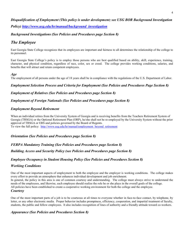# *Disqualification of Employment (This policy is under development; see USG BOR Background Investigation Policy) [http://www.usg.edu/hr/manual/background\\_investigation](http://www.usg.edu/hr/manual/background_investigation)*

# *Background Investigations (See Policies and Procedures page Section 8)*

# *The Employee*

East Georgia State College recognizes that its employees are important and fairness to all determines the relationship of the college to its personnel.

East Georgia State College's policy is to employ those persons who are best qualified based on ability, skill, experience, training, character, and physical condition, regardless of race, color, sex or creed. The college provides working conditions, salaries, and benefits that will attract and retain competent employees.

# *Age*

The employment of all persons under the age of 18 years shall be in compliance with the regulations of the U.S. Department of Labor.

# *Employment Selection Process and Criteria for Employment (See Policies and Procedures Page Section 8)*

# *Employment of Relatives (See Policies and Procedures page Section 8)*

# *Employment of Foreign Nationals (See Policies and Procedures page Section 8)*

# *Employment Beyond Retirement*

When an individual retires from the University System of Georgia and is receiving benefits from the Teachers Retirement System of Georgia (TRSGA) or the Optional Retirement Plan (ORP), he/she shall not be re-employed by the University System without the prior approval of TRSGA or ERS and policies governed by the Board of Regents.

To view the full policy: [http://www.usg.edu/hr/manual/employment\\_beyond\\_retirement](http://www.usg.edu/hr/manual/employment_beyond_retirement)

# *Orientation (See Policies and Procedures page Section 8)*

# *FERPA Mandatory Training (See Policies and Procedures page Section 8)*

# *Building Access and Security Policy (see Policies and Procedures page Section 8)*

# *Employee Occupancy in Student Housing Policy (See Policies and Procedures Section 8)*

# *Working Conditions*

One of the most important aspects of employment to both the employee and the employer is working conditions. The college makes every effort to provide an atmosphere that enhances individual development and job enrichment. In general, the policy in this area is one of common courtesy and understanding. The college must always strive to understand the

needs of the employees, and likewise, each employee should realize the role he or she plays in the overall goals of the college. All policies have been established to create a cooperative working environment for both the college and the employee. *Courtesy*

One of the most important parts of a job is to be courteous at all times to everyone whether in face-to-face contact, by telephone, by letter, or any other electronic media. Proper behavior includes promptness, efficiency, cooperation, and impartial treatment of faculty, students, the public and fellow employees. It also includes recognition of lines of authority and a friendly attitude toward co-workers.

# *Appearance (See Policies and Procedures Section 8)*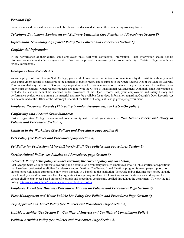# *Personal Life*

Social events and personal business should be planned or discussed at times other than during working hours.

#### *Telephone Equipment, Equipment and Software Utilization (See Policies and Procedures Section 8)*

#### *Information Technology Equipment Policy (See Policies and Procedures Section 8)*

#### *Confidential Information*

In the performance of their duties, some employees must deal with confidential information. Such information should not be discussed or made available to anyone until it has been approved for release by the proper authority. Certain college records are strictly confidential.

#### *Georgia's Open Records Act*

As an employee of East Georgia State College, you should know that certain information maintained by the institution about you and your employment record is considered to be a matter of public record and is subject to the Open Records Act of the State of Georgia. This means that any citizen of Georgia may request access to certain information contained in your personnel file without your knowledge or consent. Open records requests are filed with the Office of Institutional Advancement. Although some information is excluded by law and cannot be accessed under provisions of the Open Records Act, your employment and salary history and performance evaluations are among the material that may be available for review. Information regarding Georgia's Open Records Act can be obtained at the Office of the Attorney General of the State of Georgia at: law.ga.gov/open-government.

#### *Employee Personnel Records (This policy is under development; see USG BOR policy)*

#### *Conformity with Federal Grant Standards*

East Georgia State College is committed to conformity with federal grant standards. *(See Grant Process and Policy in Policies and Procedures Section 7)* 

*Children in the Workplace (See Policies and Procedures page Section 8)*

*Pets Policy (see Policies and Procedures page Section 8)*

*Pet Policy for Professional Live-In/Live-On Staff (See Policies and Procedures Section 8)*

#### *Service Animal Policy (see Policies and Procedures page Section 8)*

#### *Telework Policy (This policy is under revision; the current policy appears below)*

East Georgia State College allows teleworking and flextime, on a voluntary basis, to employees who fill job classifications/positions that have been designated as eligible for telework and/or flextime. The Telework and Flextime program is an employer option, not an employee right and is appropriate only when it results in a benefit to the institution. Telework and/or flextime may not be suitable for all employees and/or positions. East Georgia State College may implement teleworking and/or flextime as a work option for certain eligible employees based on specific criteria and procedures consistently applied throughout the department. To view the full policy: [http://www.usg.edu/hr/manual/teleworking\\_flextime\\_policy](http://www.usg.edu/hr/manual/teleworking_flextime_policy)

*Employee Travel (see Business Procedures Manual on Policies and Procedures Page Section 7)*

*Fleet Management and Motor Vehicle Use Policy (see Policies and Procedures Page Section 8)*

*Trip Approval and Travel Policy (see Policies and Procedures Page Section 8)*

*Outside Activities (See Section 8 – Conflicts of Interest and Conflicts of Commitment Policy)*

*Political Activities Policy (see Policies and Procedures Page Section 8)*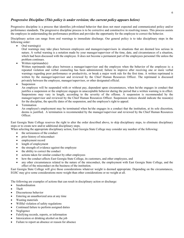# *Progressive Discipline (This policy is under revision; the current policy appears below)*

Progressive discipline is a process that identifies job-related behavior that does not meet expected and communicated policy and/or performance standards. The progressive discipline process is to be corrective and constructive in resolving issues. This process assists the employee in understanding the performance problem and provides the opportunity for the employee to correct the behavior.

Disciplinary action can range from oral warnings to immediate discharge. Our general policy is to take disciplinary steps in the following order:

Oral warning $(s)$ 

Oral warnings may take place between employees and managers/supervisors in situations that are deemed less serious in nature. A verbal warning is a notation made by your manager/supervisor of the time, date, and circumstances of a situation, which had been discussed with the employee. It does not become a permanent part of the employees personnel file unless the problem continues.

Written reprimands(s)

Written reprimands take place between a manager/supervisor and the employee when the behavior of the employee is: a repeated violation and verbal counseling has been administered; failure to improve after receiving one or more verbal warnings regarding poor performance or productivity, or break a major work rule for the first time. A written reprimand is written by the manager/supervisor and reviewed by the Chief Human Resources Officer. The reprimand is discussed privately between the employee, manager/supervisor, or other designated official.

• Suspension

An employee will be suspended with or without pay, dependent upon circumstances, when he/she engages in conduct that justifies a suspension or the employee engages in unacceptable behavior during the period that a written warning is in effect. Suspensions may vary in length, according to the severity of the offense. A suspension is recommended by the manager/supervisor and reviewed by the Chief Human Resources Officer. Suspension notices should indicate the reason(s) for the discipline, the specific dates of the suspension, and the employee's right to appeal.

**Termination** 

An employee's employment may be terminated when he/she engages in a conduct that the institution, at its sole discretion, deems is justified. A termination is recommended by the manager/supervisor and reviewed by the Chief Human Resources Officer.

East Georgia State College reserves the right to alter the order described above, to skip disciplinary steps, to eliminate disciplinary steps or to create new and/or additional disciplinary steps.

When selecting the appropriate disciplinary action, East Georgia State College may consider any number of the following:

- the seriousness of the conduct
- prior history of misconduct
- employment record
- length of employment
- the strength of evidence against the employee
- the ability to correct the conduct
- actions taken for similar conduct by other employees
- how the conduct affects East Georgia State College, its customers, and other employees, and
- any other circumstances related to the nature of the misconduct, the employment with East Georgia State College, and the effect of the misconduct on the business of the institution.

East Georgia State College will give those considerations whatever weight is deemed appropriate. Depending on the circumstances, EGSC may give some considerations more weight than other considerations or no weight at all.

The following are examples of actions that can result in disciplinary action or discharge:

- **Insubordination**
- Theft
- Discourteous behavior
- Entering an unauthorized area at any time
- Wasting materials
- Willful violation of safety regulations
- Continued failure to perform assigned duties
- Negligence
- Falsifying records, reports, or information
- Intoxication or drinking alcohol on the job
- Failure to report an absence or reason for absence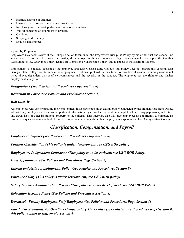- Habitual absence or tardiness
- Unauthorized absence from assigned work area
- Interfering with the work performance of another employee
- Willful damaging of equipment or property
- Gambling
- Sleeping while on duty
- Drug-related charges

#### Appeal by Employee

Employees may seek review of the College's action taken under the Progressive Discipline Policy by his or her first and second line supervisors. If this fails to resolve the matter, the employee is directed to other college policies which may apply: the Conflict Resolution Policy, Grievance Policy, Dismissal, Demotion or Suspension Policy, and to appeal to the Board of Regents.

Employment is a mutual consent of the employee and East Georgia State College; this policy does not change this consent. East Georgia State College can terminate the employment relationship at will, at any time, for any lawful reason, including reasons not listed above; dependent on specific circumstances and the severity of the conduct. The employee has the right to end his/her employment at any time.

#### *Resignations (See Policies and Procedures Page Section 8)*

#### *Reduction in Force (See Policies and Procedures Section 8)*

#### *Exit Interview*

All employees who are terminating their employment must participate in an exit interview conducted by the Human Resources Office. At that time, employees will receive all pertinent information regarding their separation, complete all necessary paperwork, and return any cards, keys or other institutional property to the college. This interview also will give employees an opportunity to complete an on-line exit questionnaire available from BOR to provide feedback about their employment experience at East Georgia State College.

# *Classification, Compensation, and Payroll*

*Employee Categories (See Policies and Procedures Page Section 8)*

*Position Classification (This policy is under development; see USG BOR policy)* 

*Employee vs. Independent Contractor (This policy is under revision; see USG BOR Policy)*

*Dual Appointment (See Policies and Procedures Page Section 8)*

*Interim and Acting Appointments Policy (See Policies and Procedures Section 8)*

*Entrance Salary (This policy is under development; see USG BOR policy)*

*Salary Increase Administration Process (This policy is under development; see USG BOR Policy)*

*Relocation Expense Policy (See Policies and Procedures Section 8)*

*Workweek- Faculty Employees, Staff Employees (See Policies and Procedures Page Section 8)*

*Fair Labor Standards Act Overtime Compensatory Time Policy (see Policies and Procedures page Section 8; this policy applies to staff employees only)*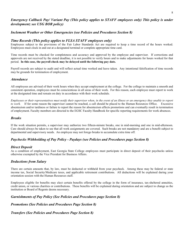# *Emergency Callback Pay/ Variant Pay (This policy applies to STAFF employees only) This policy is under development; see USG BOR policy)*

#### *Inclement Weather or Other Emergencies (see Policies and Procedures Section 8)*

#### *Time Records (This policy applies to FLSA STAFF employees only)*

Employees subject to the provisions of the Fair Labor Standards Act are required to keep a time record of the hours worked. Employees must clock in and out at a designated terminal or complete appropriate time card.

Time records must be checked for completeness and accuracy and approved by the employee and supervisor. If corrections and approvals are not received by the stated deadline, it is not possible to verify hours and to make adjustments for hours worked for that period. **In this case, the payroll check may be delayed until the following pay date.**

Payroll records are subject to audit and will reflect actual time worked and leave taken. Any intentional falsification of time records may be grounds for termination of employment.

#### *Attendance*

All employees are advised of their work hours when they accept employment at the college. For the college to maintain a smooth and consistent operation, employees must be conscientious in all areas of their work. For this reason, each employee must report to work at the designated time and remain on duty in accordance with their work schedule.

*Employees or their representatives must notify their supervisor when, in the event of an illness or an emergency they unable to report to work.* If for some reason the supervisor cannot be reached, a call should be placed to the Human Resources Office. Excessive absenteeism and/or tardiness or failure to report the reason for absenteeism affects promotions and can eventually result in termination of employment. Faculty members are directed to the EGSC Faculty Handbook for specific reporting requirements for work absences.

#### *Breaks*

If the work situation permits, a supervisor may authorize two fifteen-minute breaks, one in mid-morning and one in mid-afternoon. Care should always be taken to see that all work assignments are covered. Such breaks are not mandatory and are a benefit subject to departmental and supervisory needs. An employee may not forego breaks to accumulate extra time off.

#### *Paychecks Withholding of Pay Policy - Paydays (see Policies and Procedures page Section 8)*

#### *Direct Deposit*

As a condition of employment, East Georgia State College employees must participate in direct deposit of their paychecks unless otherwise exempted by the Vice President for Business Affairs.

#### *Deductions from Salary*

There are certain amounts that, by law, must be deducted or withheld from your paycheck. Among these may be federal or state income tax, Social Security/Medicare taxes, and applicable retirement contributions. All deductions will be explained during your orientation session with the Human Resources staff.

Employees eligible for benefits may elect certain benefits offered by the college in the form of insurance, tax-sheltered annuities, credit union, or various charities or contributions. These benefits will be explained during orientation and are subject to change as the institution or Board of Regents deems necessary.

#### *Garnishments of Pay Policy (See Policies and Procedures page Section 8)*

*Promotions (See Policies and Procedures Page Section 8)*

*Transfers (See Policies and Procedures Page Section 8)*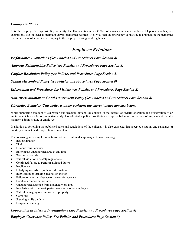#### *Changes in Status*

It is the employee's responsibility to notify the Human Resources Office of changes in name, address, telephone number, tax exemptions, etc. in order to maintain current personnel records. It is vital that an emergency contact be maintained in the personnel file in the event of an accident or injury to the employee during working hours.

# *Employee Relations*

*Performance Evaluations (See Policies and Procedures Page Section 8)*

*Amorous Relationships Policy (see Policies and Procedures Page Section 8)*

*Conflict Resolution Policy (see Policies and Procedures Page Section 8)*

*Sexual Misconduct Policy (see Policies and Procedures Page Section 8)*

*Information and Procedures for Victims (see Policies and Procedures Page Section 8)*

*Non-Discrimination and Anti-Harassment Policy (See Policies and Procedures Page Section 8)*

#### *Disruptive Behavior (This policy is under revision; the current policy appears below)*

While supporting freedom of expression and peaceful dissent, the college, in the interest of orderly operation and preservation of an environment favorable to productive study, has adopted a policy prohibiting disruptive behavior on the part of any student, faculty member, administrator, or employee.

In addition to following the published rules and regulations of the college, it is also expected that accepted customs and standards of courtesy, conduct, and cooperation be maintained.

The following are examples of actions that can result in disciplinary action or discharge:

- **Insubordination**
- Theft
- Discourteous behavior
- Entering an unauthorized area at any time
- Wasting materials
- Willful violation of safety regulations
- Continued failure to perform assigned duties
- Negligence
- Falsifying records, reports, or information
- Intoxication or drinking alcohol on the job
- Failure to report an absence or reason for absence
- Habitual absence or tardiness
- Unauthorized absence from assigned work area
- Interfering with the work performance of another employee
- Willful damaging of equipment or property
- Gambling
- Sleeping while on duty
- Drug-related charges

## *Cooperation in Internal Investigations (See Policies and Procedures Page Section 8)*

*Employee Grievance Policy (See Policies and Procedures Page Section 8)*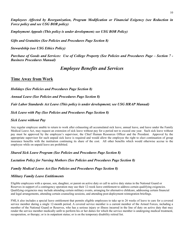*Employees Affected by Reorganization, Program Modification or Financial Exigency (see Reduction in Force policy and see USG BOR policy)*

*Employment Appeals (This policy is under development; see USG BOR Policy)*

*Gifts and Gratuities (See Policies and Procedures Page Section 8)* 

*Stewardship (see USG Ethics Policy)*

*Purchase of Goods and Services: Use of College Property (See Policies and Procedures Page – Section 7 - Business Procedures Manual)* 

# *Employee Benefits and Services*

# **Time Away from Work**

*Holidays (See Policies and Procedures Page Section 8)*

*Annual Leave (See Policies and Procedures Page Section 8)*

*Fair Labor Standards Act Leave (This policy is under development; see USG HRAP Manual)*

*Sick Leave with Pay (See Policies and Procedures Page Section 8)* 

*Sick Leave without Pay*

Any regular employee unable to return to work after exhausting all accumulated sick leave, annual leave, and leave under the Family Medical Leave Act, may request an extension of sick leave without pay for a period not to exceed one year. Such sick leave without pay must be approved by the employee's supervisor, the Chief Human Resources Officer and the President. Approval by the appropriate supervisor for such unpaid sick leave is required and would allow the employee the right to elect continuation of group insurance benefits with the institution continuing its share of the cost. All other benefits which would otherwise accrue to the employee while on unpaid leave are prohibited.

*Shared Sick Leave Program (See Policies and Procedures Page Section 8)*

*Lactation Policy for Nursing Mothers (See Policies and Procedures Page Section 8)*

#### *Family Medical Leave Act (See Policies and Procedures Page Section 8)*

## *Military Family Leave Entitlements*

Eligible employees with a spouse, son, daughter, or parent on active duty or call to active duty status in the National Guard or Reserves in support of a contingency operation may use their 12-week leave entitlement to address certain qualifying exigencies. Qualifying exigencies may include attending certain military events, arranging for alternative childcare, addressing certain financial and legal arrangements, attending certain counseling sessions, and attending post-deployment reintegration briefings.

FMLA also includes a special leave entitlement that permits eligible employees to take up to 26 weeks of leave to care for a covered service member during a single 12-month period. A covered service member is a current member of the Armed Forces, including a member of the National Guard or Reserves, who has a serious injury or illness incurred in the line of duty on active duty that may render the service member medically unfit to perform his or her duties for which the service member is undergoing medical treatment, recuperation, or therapy; or is in outpatient status; or is on the temporary disability retired list.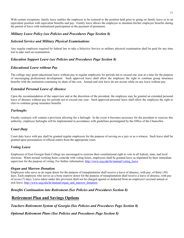With certain exceptions, family leave entitles the employee to be restored to the position held prior to going on family leave or to an equivalent position with equivalent benefits and pay. Family leave allows the employee to maintain his/her employee benefits during the period of leave with institutional participation in the payment of premiums.

## *Military Leave Policy (see Policies and Procedures Page Section 8)*

#### *Selected Service and Military Physical Examinations*

Any regular employee required by federal law to take a Selective Service or military physical examination shall be paid for any time lost to take such an examination.

#### *Education Support Leave (see Policies and Procedures Page Section 8)*

#### *Educational Leave without Pay*

The college may grant educational leave without pay to regular employees for periods not to exceed one year at a time for the purpose of encouraging professional development. Such approved leave shall allow the employee the right to continue group insurance benefits with the institution continuing its share of the cost. Annual and sick leave do not accrue while on any leave without pay.

#### *Extended Personal Leave of Absence*

Upon the recommendation of the supervisor and at the discretion of the president, the employee may be granted an extended personal leave of absence without pay for periods not to exceed one year. Such approved personal leave shall allow the employee the right to elect to continue group insurance benefits.

#### *Furloughs*

Faculty contracts will contain a provision allowing for a furlough. In the event it becomes necessary for the president to exercise this authority, employee furloughs will be implemented in accordance with guidelines promulgated by the Office of the Chancellor.

## *Court Duty*

Court duty leave with pay shall be granted regular employees for the purpose of serving on a jury or as a witness. Such leave shall be granted upon presentation of official orders from the appropriate court.

## *Voting Leave*

Employees of East Georgia State College are encouraged to exercise their constitutional right to vote in all federal, state, and local elections. When normal working hours coincide with voting hours, employees shall be granted leave as stipulated by their immediate supervisor for the purpose of voting. For further information: [http://www.usg.edu/hr/manual/voting\\_leave](http://www.usg.edu/hr/manual/voting_leave)

#### *Organ and Marrow Donation*

Employees who serve as an organ donor for the purpose of transplantation shall receive a leave of absence, with pay, of thirty (30) days. Each employee who serves as a bone marrow donor for the purpose of transplantation shall receive a leave of absence, with pay of seven (7) days. Leave taken under this provision shall not be charged against or deducted from an employee's accrued annual or sick leave. [http://www.usg.edu/hr/manual/organ\\_and\\_marrow\\_donation](http://www.usg.edu/hr/manual/organ_and_marrow_donation)

#### *Benefits Continuation into Retirement (See Policies and Procedures Section 8)*

# **Retirement Plan and Savings Options**

*Teachers Retirement System of Georgia (See Policies and Procedures Page Section 8)*

*Optional Retirement Plans (See Policies and Procedures Page Section 8)*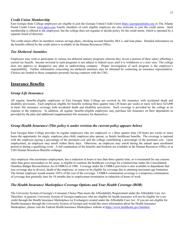#### *Credit Union Membership*

East Georgia State College employees are eligible to join the Georgia United Credit Union [https://georgiaunitedcu.org](https://georgiaunitedcu.org/) or The Atlanta Postal Credit Union [www.apcu.com](http://www.apcu.com/) Family members of each eligible employee are also welcome to join the credit union. Such membership is offered to the employees, but the college does not regulate or decide policy for the credit union, which is operated by a separate board of directors.

The credit union offers its members various savings plans, checking account benefits, IRA's, and loan plans. Detailed information on the benefits offered by the credit union is available in the Human Resources Office.

#### *Tax Sheltered Annuities*

Employees may wish to participate in various tax-deferred annuity programs wherein they invest a portion of their salary affording a current tax benefit. Income invested in such programs is not subject to federal taxes until it is withdrawn *at a later date.* The college does not approve or disapprove any plan or underwriting company. Proper investigation of each program is the employee's responsibility. Further information concerning tax-sheltered annuities may be obtained by contacting an insurance representative. Choices are limited to those companies presently having contracts with the USG.

# **Insurance Benefits**

#### *Group Life Insurance*

All regular, benefits-eligible employees of East Georgia State College are covered by life insurance with accidental death and disability provisions. Each employee eligible for benefits working three quarter time (30 hours per week) or more will have \$25,000 in basic life insurance coverage with accidental death and disability provisions. Such coverage is provided by the college at no expense to the employee. In addition, all regular, benefits-eligible employees may purchase life insurance on their dependents as provided by the plan and additional (supplemental) life insurance for themselves.

#### *Group Health Insurance (This policy is under revision the current policy appears below)*

East Georgia State College provides its regular employees who are employed on a three quarter time (30 hours per week) or more bases the opportunity for single, employee plus child, employee plus spouse, or family healthcare benefits. The coverage is optional with the employee paying a percentage of the premium cost and the college contributing a percentage of the premium cost. Upon employment, an employee may enroll within thirty days. Otherwise, an employee may enroll during the annual open enrollment period or during a qualifying event. A full explanation of the benefits and booklets are available in the Human Resources Office or at USG Human Resources Benefits webpage.

Any employee who terminates employment, has a reduction in hours to less than three quarter time, or is terminated for any reasons other than gross misconduct or for cause, is eligible to continue the healthcare coverage for a limited time under the Consolidated Omnibus Budget Reconciliation Act (COBRA) of 1986. Coverage under the COBRA provision is also available to dependents that lose coverage due to divorce, death of the employee, or ceases to be eligible for coverage due to attaining maximum age limitation. The former employee would assume 102% of the cost of the coverage. COBRA continuation coverage is a temporary continuation of coverage that generally lasts for 18 months due to employment termination or reduction of hours of work.

## *The Health Insurance Marketplace Coverage Options and Your Health Coverage (BOR)*

The University System of Georgia's Consumer Choice Plan meets the Affordability Requirement under the Affordable Care Act. Therefore, in general, University System of Georgia employees who are eligible for health insurance will not be eligible for a tax credit through the Health Insurance Marketplace (or Exchanges) created under the Affordable Care Act. If you are not eligible for Health Insurance through the University System of Georgia and would like more information about the Health Insurance Marketplace, please visit the Federal Health Insurance Marketplace website at [https://www.healthcare.gov/families/.](https://www.healthcare.gov/families/)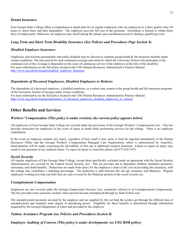## *Dental Insurance*

East Georgia State College offers a comprehensive dental plan for its regular employees who are employed on a three quarter time (30 hours or more) basis and their dependents. The employee pays the full cost of the premium. Enrollment is limited to within thirty days of employment. Otherwise, an employee may enroll during the annual open enrollment period or during a qualifying event.

#### *Long Term and Short Term Disability Insurance (See Policies and Procedures Page Section 8)*

#### *Disabled Employee Insurance*

Employees who become permanently and totally disabled may be allowed to continue group health & life insurance benefits under certain conditions. The time period for such continued coverage and extent to which the University System will participate in the continued cost of the coverage is dependent on the years of continuous service of the employee at the time of the disability. For more information see the full policy located in the USG Human Resources Administrative Practice Manual: [http://www.usg.edu/hr/manual/disabled\\_employee\\_insurance](http://www.usg.edu/hr/manual/disabled_employee_insurance)

#### *Dependents of Deceased Employees, Disabled Employees or Retirees*

The dependents of a deceased employee, a disabled employee, or a retiree may remain in the group health and life insurance programs of the University System of Georgia under certain conditions. For more information see the full policy located in the USG Human Resources Administrative Practice Manual: [http://www.usg.edu/hr/manual/dependents\\_of\\_deceased\\_employees\\_disabled\\_employees\\_or\\_retirees](http://www.usg.edu/hr/manual/dependents_of_deceased_employees_disabled_employees_or_retirees)

# **Other Benefits and Services**

#### *Workers' Compensation (This policy is under revision; the current policy appears below)*

All employees of East Georgia State College are covered under the provisions of the Georgia Workers' Compensation Law. This law provides protection for employees in the event of injury or death while performing services for the college. There is no employee contribution.

In the event an employee sustains any injury, regardless of how small it may seem, it must be reported immediately to the Human Resources Office and the Georgia Worker's Compensation Managed Care Organization, which is administered by AmeriSys. Determination will be made concerning the advisability of first aid or additional medical treatment. Failure to report an injury may result in non-payment of any medical claims. To report an injury to AmeriSys please call 877-656-7475.

#### *Social Security*

All regular employees of East Georgia State College, except those specifically excluded under an agreement with the Social Security Administration, are covered by the Federal Social Security Act. This act provides aid to dependent children, disability payments, retirement, and death benefits. Deductions are made from salary for the employee's share of the cost of providing this insurance, with the college also contributes a matching percentage. The deduction is split between the old age insurance and Medicare. Regular employees working less than one-half time are only covered by the Medicare portion of the social security tax.

#### *Unemployment Compensation*

Employees are also covered under the Georgia Employment Security Law, commonly referred to as Unemployment Compensation. The law provides some economic security when persons become unemployed through no fault of their own.

The unemployment payments are paid by the employer and are supplied by this act help the worker get through the difficult time of unemployment and maintain some degree of purchasing power. Eligibility for these benefits is determined through information requested by the Georgia Department of Labor and provided by the employer.

## *Tuition Assistance Program (see Policies and Procedures Section 8)*

*Employee Auditing of Courses (This policy is under development; see USG BOR policy)*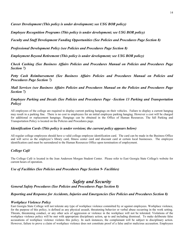*Career Development (This policy is under development; see USG BOR policy)*

*Employee Recognition Programs (This policy is under development; see USG BOR policy)*

*Faculty and Staff Development Funding Opportunities (See Policies and Procedures Page Section 8)*

*Professional Development Policy (see Policies and Procedures Page Section 8)*

*Employment Beyond Retirement (This policy is under development; see USG BOR policy)*

*Check Cashing (See Business Affairs Policies and Procedures Manual on Policies and Procedures Page Section 7)*

*Petty Cash Reimbursement (See Business Affairs Policies and Procedures Manual on Policies and Procedures Page Section 7)*

*Mail Services (see Business Affairs Policies and Procedures Manual on the Policies and Procedures Page Section 7)*

# *Employee Parking and Decals (See Policies and Procedures Page –Section 13 Parking and Transportation Policy)*

All employees of the college are required to display current parking hangtags on their vehicles. Failure to display a current hangtag may result in a parking fine. There is no cost to employees for an initial employee parking hangtag. However a cost will be charged for additional or replacement hangtags. Hangtags can be obtained in the Office of Human Resources. The full Parking and Transportation Policy is located on the Policies and Procedures page.

## *Identification Cards (This policy is under revision; the current policy appears below)*

All regular college employees should have a valid college employee identification card. The card can be made in the Business Office and will serve as the employee's library card, fitness center card and discount card at certain local businesses. The employee identification card must be surrendered to the Human Resources Office upon termination of employment.

## *College Café*

The College Café is located in the Jean Anderson Morgan Student Center. Please refer to East Georgia State College's website for current hours of operation.

#### *Use of Facilities (See Policies and Procedures Page Section 9- Facilities)*

# *Safety and Security*

*General Safety Procedures (See Policies and Procedures Page Section 8)* 

#### *Reporting and Response for Accidents, Injuries and Emergencies (See Policies and Procedures Section 8)*

#### *Workplace Violence Policy*

East Georgia State College will not tolerate any type of workplace violence committed by or against employees. Workplace violence, for the purpose of this policy, is defined as any physical assault, threatening behavior or verbal abuse occurring in the work setting. Threats, threatening conduct, or any other acts of aggression or violence in the workplace will not be tolerated. Violations of the workplace violence policy will be met with appropriate disciplinary action, up to and including dismissal. To make deliberate false accusations of workplace violence violates this policy. In such instances, the complainant will be subject to disciplinary action. However, failure to prove a claim of workplace violence does not constitute proof of a false and/or malicious accusation. Employees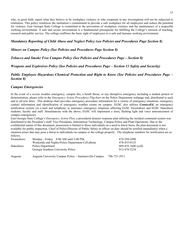who, in good faith, report what they believe to be workplace violence or who cooperate in any investigation will not be subjected to retaliation. This policy reinforces the institution's commitment to provide a safe workplace for all employees and reduce the potential for violence. East Georgia State College is committed to the prevention of workplace violence and the maintenance of a respectful working environment. A safe and secure environment is a fundamental prerequisite for fulfilling the College's mission of teaching, research and public service. The college reaffirms the basic right of employees to a safe and humane working environment.

## *Mandatory Reporting of Child Abuse and Neglect Policy (see Policies and Procedures Page Section 8)*

# *Minors on Campus Policy (See Policies and Procedures Page Section 8)*

# *Tobacco and Smoke Free Campus Policy (See Policies and Procedures Page – Section 8)*

# *Weapons and Explosives Policy (See Policies and Procedures Page – Section 13 Safety and Security)*

## *Public Employee Hazardous Chemical Protection and Right to Know (See Policies and Procedures Page – Section 8)*

# *Campus Emergencies*

In the event of a severe weather emergency, campus fire, a bomb threat, or any disruptive emergency including a student protest or demonstration, please refer to the *Emergency Action Procedures Flipchart* on the Police Department webpage and, distributed to each and to all new hires. This desktop chart provides emergency procedure information for a variety of emergency situations, emergency contact information and identification of emergency weather rooms on campus. EGSC also utilizes *ConnectEd*, an emergency notification system via e-mail and telephone, to announce emergency situations affecting EGSC Swainsboro and EGSC Statesboro students, faculty and staff. Simultaneous with the above, EGSC will implement a siren, flashing light and voice announcement of campus emergencies.

East Georgia State College's *Emergency Action Plan*, a procedural disaster response plan utilizing the incident command system was distributed to the President's staff: Vice Presidents, Information Technology, Campus Police and Plant Operations. Due to the confidential nature of this document, possession is limited to those individuals on a need to know basis; the plan document is not available for public inspection. Chief of Police/Director of Public Safety or officer on duty should be notified immediately when a situation arises that may pose a threat to individuals on campus or the college property. The telephone numbers for notification are as follows:

| Swainsboro: | Monday - Friday 8:00 AM until 5:00 PM            | 478-289-2090        |
|-------------|--------------------------------------------------|---------------------|
|             | Weekends and Nights-Police Department Cell phone | 478-455-0125        |
| Statesboro: | Police Department                                | 489-455-1606 (cell) |
|             | Georgia Southern University Police               | 912-478-5234        |
|             |                                                  |                     |

Augusta: Augusta University Campus Police – Summerville Campus 706-721-2911